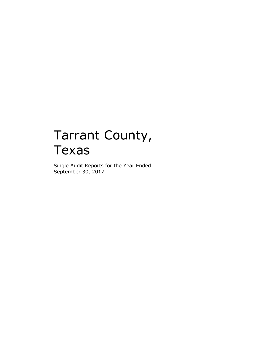# Tarrant County, Texas

Single Audit Reports for the Year Ended September 30, 2017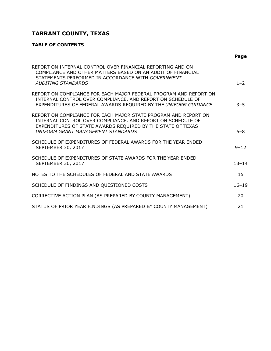## **TARRANT COUNTY, TEXAS**

### **TABLE OF CONTENTS**

|                                                                                                                                                                                                                                     | Page      |
|-------------------------------------------------------------------------------------------------------------------------------------------------------------------------------------------------------------------------------------|-----------|
| REPORT ON INTERNAL CONTROL OVER FINANCIAL REPORTING AND ON<br>COMPLIANCE AND OTHER MATTERS BASED ON AN AUDIT OF FINANCIAL<br>STATEMENTS PERFORMED IN ACCORDANCE WITH GOVERNMENT<br><b>AUDITING STANDARDS</b>                        | $1 - 2$   |
| REPORT ON COMPLIANCE FOR EACH MAJOR FEDERAL PROGRAM AND REPORT ON<br>INTERNAL CONTROL OVER COMPLIANCE, AND REPORT ON SCHEDULE OF<br>EXPENDITURES OF FEDERAL AWARDS REQUIRED BY THE UNIFORM GUIDANCE                                 | $3 - 5$   |
| REPORT ON COMPLIANCE FOR EACH MAJOR STATE PROGRAM AND REPORT ON<br>INTERNAL CONTROL OVER COMPLIANCE, AND REPORT ON SCHEDULE OF<br>EXPENDITURES OF STATE AWARDS REQUIRED BY THE STATE OF TEXAS<br>UNIFORM GRANT MANAGEMENT STANDARDS | $6 - 8$   |
| SCHEDULE OF EXPENDITURES OF FEDERAL AWARDS FOR THE YEAR ENDED<br><b>SEPTEMBER 30, 2017</b>                                                                                                                                          | $9 - 12$  |
| SCHEDULE OF EXPENDITURES OF STATE AWARDS FOR THE YEAR ENDED<br><b>SEPTEMBER 30, 2017</b>                                                                                                                                            | $13 - 14$ |
| NOTES TO THE SCHEDULES OF FEDERAL AND STATE AWARDS                                                                                                                                                                                  | 15        |
| SCHEDULE OF FINDINGS AND QUESTIONED COSTS                                                                                                                                                                                           | $16 - 19$ |
| CORRECTIVE ACTION PLAN (AS PREPARED BY COUNTY MANAGEMENT)                                                                                                                                                                           | 20        |
| STATUS OF PRIOR YEAR FINDINGS (AS PREPARED BY COUNTY MANAGEMENT)                                                                                                                                                                    | 21        |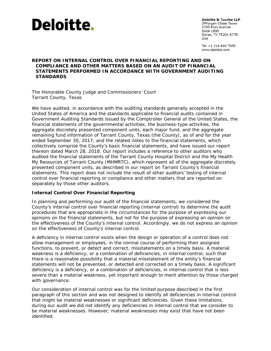

**Deloitte & Touche LLP** JPMorgan Chase Tower 2200 Ross Avenue **Suite 1600** Dallas, TX 75201-6778  $115A$ 

Tel: +1 214 840 7000 www.deloitte.com

#### **REPORT ON INTERNAL CONTROL OVER FINANCIAL REPORTING AND ON COMPLIANCE AND OTHER MATTERS BASED ON AN AUDIT OF FINANCIAL STATEMENTS PERFORMED IN ACCORDANCE WITH** *GOVERNMENT AUDITING STANDARDS*

The Honorable County Judge and Commissioners' Court Tarrant County, Texas

We have audited, in accordance with the auditing standards generally accepted in the United States of America and the standards applicable to financial audits contained in *Government Auditing Standards* issued by the Comptroller General of the United States, the financial statements of the governmental activities, the business-type activities, the aggregate discretely presented component units, each major fund, and the aggregate remaining fund information of Tarrant County, Texas (the County), as of and for the year ended September 30, 2017, and the related notes to the financial statements, which collectively comprise the County's basic financial statements, and have issued our report thereon dated March 28, 2018. Our report includes a reference to other auditors who audited the financial statements of the Tarrant County Hospital District and the My Health My Resources of Tarrant County (MHMRTC), which represent all of the aggregate discretely presented component units, as described in our report on Tarrant County's financial statements. This report does not include the result of other auditors' testing of internal control over financial reporting or compliance and other matters that are reported on separately by those other auditors.

#### **Internal Control Over Financial Reporting**

In planning and performing our audit of the financial statements, we considered the County's internal control over financial reporting (internal control) to determine the audit procedures that are appropriate in the circumstances for the purpose of expressing our opinions on the financial statements, but not for the purpose of expressing an opinion on the effectiveness of the County's internal control. Accordingly, we do not express an opinion on the effectiveness of County's internal control.

A *deficiency in internal control* exists when the design or operation of a control does not allow management or employees, in the normal course of performing their assigned functions, to prevent, or detect and correct, misstatements on a timely basis. A *material weakness* is a deficiency, or a combination of deficiencies, in internal control, such that there is a reasonable possibility that a material misstatement of the entity's financial statements will not be prevented, or detected and corrected on a timely basis. A *significant deficiency* is a deficiency, or a combination of deficiencies, in internal control that is less severe than a material weakness, yet important enough to merit attention by those charged with governance.

Our consideration of internal control was for the limited purpose described in the first paragraph of this section and was not designed to identify all deficiencies in internal control that might be material weaknesses or significant deficiencies. Given these limitations, during our audit we did not identify any deficiencies in internal control that we consider to be material weaknesses. However, material weaknesses may exist that have not been identified.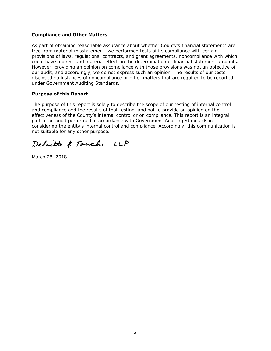#### **Compliance and Other Matters**

As part of obtaining reasonable assurance about whether County's financial statements are free from material misstatement, we performed tests of its compliance with certain provisions of laws, regulations, contracts, and grant agreements, noncompliance with which could have a direct and material effect on the determination of financial statement amounts. However, providing an opinion on compliance with those provisions was not an objective of our audit, and accordingly, we do not express such an opinion. The results of our tests disclosed no instances of noncompliance or other matters that are required to be reported under *Government Auditing Standards.*

#### **Purpose of this Report**

The purpose of this report is solely to describe the scope of our testing of internal control and compliance and the results of that testing, and not to provide an opinion on the effectiveness of the County's internal control or on compliance. This report is an integral part of an audit performed in accordance with *Government Auditing Standards* in considering the entity's internal control and compliance. Accordingly, this communication is not suitable for any other purpose.

Deloitte & Touche LLP

March 28, 2018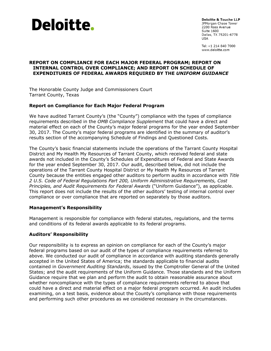

**Deloitte & Touche LLP** JPMorgan Chase Tower 2200 Ross Avenue Suite 1600 Dallas, TX 75201-6778 **USA** 

Tel: +1 214 840 7000 www.deloitte.com

#### **REPORT ON COMPLIANCE FOR EACH MAJOR FEDERAL PROGRAM; REPORT ON INTERNAL CONTROL OVER COMPLIANCE; AND REPORT ON SCHEDULE OF EXPENDITURES OF FEDERAL AWARDS REQUIRED BY THE** *UNIFORM GUIDANCE*

The Honorable County Judge and Commissioners Court Tarrant County, Texas

#### **Report on Compliance for Each Major Federal Program**

We have audited Tarrant County's (the "County") compliance with the types of compliance requirements described in the *OMB Compliance Supplement* that could have a direct and material effect on each of the County's major federal programs for the year ended September 30, 2017. The County's major federal programs are identified in the summary of auditor's results section of the accompanying Schedule of Findings and Questioned Costs.

The County's basic financial statements include the operations of the Tarrant County Hospital District and My Health My Resources of Tarrant County, which received federal and state awards not included in the County's Schedules of Expenditures of Federal and State Awards for the year ended September 30, 2017. Our audit, described below, did not include the operations of the Tarrant County Hospital District or My Health My Resources of Tarrant County because the entities engaged other auditors to perform audits in accordance with *Title 2 U.S. Code of Federal Regulations Part 200, Uniform Administrative Requirements, Cost Principles, and Audit Requirements for Federal Awards* ("Uniform Guidance"), as applicable. This report does not include the results of the other auditors' testing of internal control over compliance or over compliance that are reported on separately by those auditors.

#### **Management's Responsibility**

Management is responsible for compliance with federal statutes, regulations, and the terms and conditions of its federal awards applicable to its federal programs.

#### **Auditors' Responsibility**

Our responsibility is to express an opinion on compliance for each of the County's major federal programs based on our audit of the types of compliance requirements referred to above. We conducted our audit of compliance in accordance with auditing standards generally accepted in the United States of America; the standards applicable to financial audits contained in *Government Auditing Standards*, issued by the Comptroller General of the United States; and the audit requirements of the Uniform Guidance. Those standards and the Uniform Guidance require that we plan and perform the audit to obtain reasonable assurance about whether noncompliance with the types of compliance requirements referred to above that could have a direct and material effect on a major federal program occurred. An audit includes examining, on a test basis, evidence about the County's compliance with those requirements and performing such other procedures as we considered necessary in the circumstances.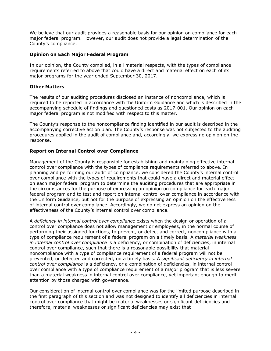We believe that our audit provides a reasonable basis for our opinion on compliance for each major federal program. However, our audit does not provide a legal determination of the County's compliance.

#### **Opinion on Each Major Federal Program**

In our opinion, the County complied, in all material respects, with the types of compliance requirements referred to above that could have a direct and material effect on each of its major programs for the year ended September 30, 2017.

#### **Other Matters**

The results of our auditing procedures disclosed an instance of noncompliance, which is required to be reported in accordance with the Uniform Guidance and which is described in the accompanying schedule of findings and questioned costs as 2017-001. Our opinion on each major federal program is not modified with respect to this matter.

The County's response to the noncompliance finding identified in our audit is described in the accompanying corrective action plan. The County's response was not subjected to the auditing procedures applied in the audit of compliance and, accordingly, we express no opinion on the response.

#### **Report on Internal Control over Compliance**

Management of the County is responsible for establishing and maintaining effective internal control over compliance with the types of compliance requirements referred to above. In planning and performing our audit of compliance, we considered the County's internal control over compliance with the types of requirements that could have a direct and material effect on each major federal program to determine the auditing procedures that are appropriate in the circumstances for the purpose of expressing an opinion on compliance for each major federal program and to test and report on internal control over compliance in accordance with the Uniform Guidance, but not for the purpose of expressing an opinion on the effectiveness of internal control over compliance. Accordingly, we do not express an opinion on the effectiveness of the County's internal control over compliance.

A *deficiency in internal control over compliance* exists when the design or operation of a control over compliance does not allow management or employees, in the normal course of performing their assigned functions, to prevent, or detect and correct, noncompliance with a type of compliance requirement of a federal program on a timely basis. A *material weakness in internal control over compliance* is a deficiency, or combination of deficiencies, in internal control over compliance, such that there is a reasonable possibility that material noncompliance with a type of compliance requirement of a federal program will not be prevented, or detected and corrected, on a timely basis. A *significant deficiency in internal control over compliance* is a deficiency, or a combination of deficiencies, in internal control over compliance with a type of compliance requirement of a major program that is less severe than a material weakness in internal control over compliance, yet important enough to merit attention by those charged with governance.

Our consideration of internal control over compliance was for the limited purpose described in the first paragraph of this section and was not designed to identify all deficiencies in internal control over compliance that might be material weaknesses or significant deficiencies and therefore, material weaknesses or significant deficiencies may exist that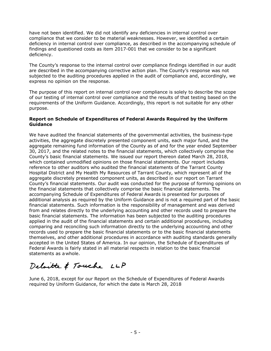have not been identified. We did not identify any deficiencies in internal control over compliance that we consider to be material weaknesses. However, we identified a certain deficiency in internal control over compliance, as described in the accompanying schedule of findings and questioned costs as item 2017-001 that we consider to be a significant deficiency.

The County's response to the internal control over compliance findings identified in our audit are described in the accompanying corrective action plan. The County's response was not subjected to the auditing procedures applied in the audit of compliance and, accordingly, we express no opinion on the response.

The purpose of this report on internal control over compliance is solely to describe the scope of our testing of internal control over compliance and the results of that testing based on the requirements of the Uniform Guidance. Accordingly, this report is not suitable for any other purpose.

#### **Report on Schedule of Expenditures of Federal Awards Required by the Uniform Guidance**

We have audited the financial statements of the governmental activities, the business-type activities, the aggregate discretely presented component units, each major fund, and the aggregate remaining fund information of the County as of and for the year ended September 30, 2017, and the related notes to the financial statements, which collectively comprise the County's basic financial statements. We issued our report thereon dated March 28, 2018, which contained unmodified opinions on those financial statements. Our report includes reference to other auditors who audited the financial statements of the Tarrant County Hospital District and My Health My Resources of Tarrant County, which represent all of the aggregate discretely presented component units, as described in our report on Tarrant County's financial statements. Our audit was conducted for the purpose of forming opinions on the financial statements that collectively comprise the basic financial statements. The accompanying Schedule of Expenditures of Federal Awards is presented for purposes of additional analysis as required by the Uniform Guidance and is not a required part of the basic financial statements. Such information is the responsibility of management and was derived from and relates directly to the underlying accounting and other records used to prepare the basic financial statements. The information has been subjected to the auditing procedures applied in the audit of the financial statements and certain additional procedures, including comparing and reconciling such information directly to the underlying accounting and other records used to prepare the basic financial statements or to the basic financial statements themselves, and other additional procedures in accordance with auditing standards generally accepted in the United States of America. In our opinion, the Schedule of Expenditures of Federal Awards is fairly stated in all material respects in relation to the basic financial statements as a whole.

# Deloitte & Touche LLP

June 6, 2018, except for our Report on the Schedule of Expenditures of Federal Awards required by Uniform Guidance, for which the date is March 28, 2018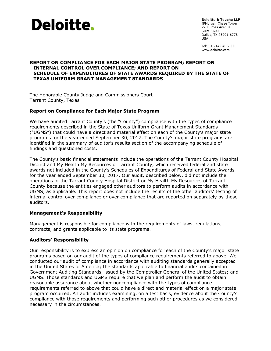

**Deloitte & Touche LLP** JPMorgan Chase Tower 2200 Ross Avenue Suite 1600 Dallas, TX 75201-6778 **USA** 

Tel: +1 214 840 7000 www.deloitte.com

#### **REPORT ON COMPLIANCE FOR EACH MAJOR STATE PROGRAM; REPORT ON INTERNAL CONTROL OVER COMPLIANCE; AND REPORT ON SCHEDULE OF EXPENDITURES OF STATE AWARDS REQUIRED BY THE STATE OF TEXAS UNIFORM GRANT MANAGEMENT STANDARDS**

The Honorable County Judge and Commissioners Court Tarrant County, Texas

#### **Report on Compliance for Each Major State Program**

We have audited Tarrant County's (the "County") compliance with the types of compliance requirements described in the State of Texas Uniform Grant Management Standards ("UGMS") that could have a direct and material effect on each of the County's major state programs for the year ended September 30, 2017. The County's major state programs are identified in the summary of auditor's results section of the accompanying schedule of findings and questioned costs.

The County's basic financial statements include the operations of the Tarrant County Hospital District and My Health My Resources of Tarrant County, which received federal and state awards not included in the County's Schedules of Expenditures of Federal and State Awards for the year ended September 30, 2017. Our audit, described below, did not include the operations of the Tarrant County Hospital District or My Health My Resources of Tarrant County because the entities engaged other auditors to perform audits in accordance with UGMS, as applicable. This report does not include the results of the other auditors' testing of internal control over compliance or over compliance that are reported on separately by those auditors.

#### **Management's Responsibility**

Management is responsible for compliance with the requirements of laws, regulations, contracts, and grants applicable to its state programs.

#### **Auditors' Responsibility**

Our responsibility is to express an opinion on compliance for each of the County's major state programs based on our audit of the types of compliance requirements referred to above. We conducted our audit of compliance in accordance with auditing standards generally accepted in the United States of America; the standards applicable to financial audits contained in Government Auditing Standards, issued by the Comptroller General of the United States; and UGMS. Those standards and UGMS require that we plan and perform the audit to obtain reasonable assurance about whether noncompliance with the types of compliance requirements referred to above that could have a direct and material effect on a major state program occurred. An audit includes examining, on a test basis, evidence about the County's compliance with those requirements and performing such other procedures as we considered necessary in the circumstances.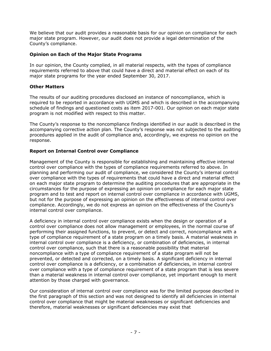We believe that our audit provides a reasonable basis for our opinion on compliance for each major state program. However, our audit does not provide a legal determination of the County's compliance.

#### **Opinion on Each of the Major State Programs**

In our opinion, the County complied, in all material respects, with the types of compliance requirements referred to above that could have a direct and material effect on each of its major state programs for the year ended September 30, 2017.

#### **Other Matters**

The results of our auditing procedures disclosed an instance of noncompliance, which is required to be reported in accordance with UGMS and which is described in the accompanying schedule of findings and questioned costs as item 2017-001. Our opinion on each major state program is not modified with respect to this matter.

The County's response to the noncompliance findings identified in our audit is described in the accompanying corrective action plan. The County's response was not subjected to the auditing procedures applied in the audit of compliance and, accordingly, we express no opinion on the response.

#### **Report on Internal Control over Compliance**

Management of the County is responsible for establishing and maintaining effective internal control over compliance with the types of compliance requirements referred to above. In planning and performing our audit of compliance, we considered the County's internal control over compliance with the types of requirements that could have a direct and material effect on each major state program to determine the auditing procedures that are appropriate in the circumstances for the purpose of expressing an opinion on compliance for each major state program and to test and report on internal control over compliance in accordance with UGMS, but not for the purpose of expressing an opinion on the effectiveness of internal control over compliance. Accordingly, we do not express an opinion on the effectiveness of the County's internal control over compliance.

A deficiency in internal control over compliance exists when the design or operation of a control over compliance does not allow management or employees, in the normal course of performing their assigned functions, to prevent, or detect and correct, noncompliance with a type of compliance requirement of a state program on a timely basis. A material weakness in internal control over compliance is a deficiency, or combination of deficiencies, in internal control over compliance, such that there is a reasonable possibility that material noncompliance with a type of compliance requirement of a state program will not be prevented, or detected and corrected, on a timely basis. A significant deficiency in internal control over compliance is a deficiency, or a combination of deficiencies, in internal control over compliance with a type of compliance requirement of a state program that is less severe than a material weakness in internal control over compliance, yet important enough to merit attention by those charged with governance.

Our consideration of internal control over compliance was for the limited purpose described in the first paragraph of this section and was not designed to identify all deficiencies in internal control over compliance that might be material weaknesses or significant deficiencies and therefore, material weaknesses or significant deficiencies may exist that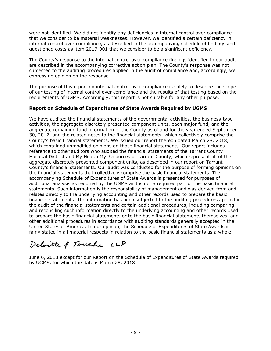were not identified. We did not identify any deficiencies in internal control over compliance that we consider to be material weaknesses. However, we identified a certain deficiency in internal control over compliance, as described in the accompanying schedule of findings and questioned costs as item 2017-001 that we consider to be a significant deficiency.

The County's response to the internal control over compliance findings identified in our audit are described in the accompanying corrective action plan. The County's response was not subjected to the auditing procedures applied in the audit of compliance and, accordingly, we express no opinion on the response.

The purpose of this report on internal control over compliance is solely to describe the scope of our testing of internal control over compliance and the results of that testing based on the requirements of UGMS. Accordingly, this report is not suitable for any other purpose.

#### **Report on Schedule of Expenditures of State Awards Required by UGMS**

We have audited the financial statements of the governmental activities, the business-type activities, the aggregate discretely presented component units, each major fund, and the aggregate remaining fund information of the County as of and for the year ended September 30, 2017, and the related notes to the financial statements, which collectively comprise the County's basic financial statements. We issued our report thereon dated March 28, 2018, which contained unmodified opinions on those financial statements. Our report includes reference to other auditors who audited the financial statements of the Tarrant County Hospital District and My Health My Resources of Tarrant County, which represent all of the aggregate discretely presented component units, as described in our report on Tarrant County's financial statements. Our audit was conducted for the purpose of forming opinions on the financial statements that collectively comprise the basic financial statements. The accompanying Schedule of Expenditures of State Awards is presented for purposes of additional analysis as required by the UGMS and is not a required part of the basic financial statements. Such information is the responsibility of management and was derived from and relates directly to the underlying accounting and other records used to prepare the basic financial statements. The information has been subjected to the auditing procedures applied in the audit of the financial statements and certain additional procedures, including comparing and reconciling such information directly to the underlying accounting and other records used to prepare the basic financial statements or to the basic financial statements themselves, and other additional procedures in accordance with auditing standards generally accepted in the United States of America. In our opinion, the Schedule of Expenditures of State Awards is fairly stated in all material respects in relation to the basic financial statements as a whole.

# Deloitte & Touche LLP

June 6, 2018 except for our Report on the Schedule of Expenditures of State Awards required by UGMS, for which the date is March 28, 2018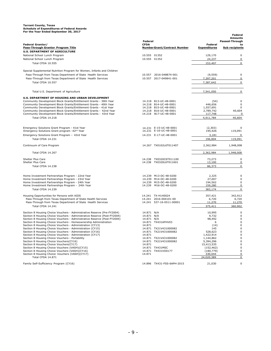# **Tarrant County, Texas Schedule of Expenditures of Federal Awards For the Year Ended September 30, 2017**

|                                                                                                                                                     | Federal                                            |                                | Federal<br><b>Amounts</b><br>Passed-Through |
|-----------------------------------------------------------------------------------------------------------------------------------------------------|----------------------------------------------------|--------------------------------|---------------------------------------------|
| Federal Grantor/<br>Pass-Through Grantor Program Title                                                                                              | <b>CFDA</b><br><b>Number Grant/Contract Number</b> | Federal<br><u>Expenditures</u> | to<br><b>Sub recipients</b>                 |
| <b>U.S. DEPARTMENT OF AGRICULTURE</b>                                                                                                               |                                                    |                                |                                             |
| National School Lunch Program                                                                                                                       | 10.555 01352                                       | 129,170                        | $\mathbf 0$                                 |
| National School Lunch Program                                                                                                                       | 10.555 01352                                       | 24,237                         | $\overline{0}$                              |
| Total CFDA 10.555                                                                                                                                   |                                                    | 153,407                        | $\overline{0}$                              |
|                                                                                                                                                     |                                                    |                                |                                             |
| Special Supplemental Nutrition Program for Women, Infants and Children                                                                              |                                                    |                                |                                             |
| Pass-Through from Texas Department of State Health Services                                                                                         | 10.557 2016-048874-001                             | (9, 559)                       | $\mathbf 0$                                 |
| Pass-Through from Texas Department of State Health Services                                                                                         | 10.557 2017-049841-001                             | 7,397,201                      | $\overline{0}$                              |
| Total CFDA 10.557                                                                                                                                   |                                                    | 7,387,642                      | $\mathbf 0$                                 |
|                                                                                                                                                     |                                                    |                                |                                             |
| Total U.S. Department of Agriculture                                                                                                                |                                                    | 7,541,050                      | $\mathbf 0$                                 |
| U.S. DEPARTMENT OF HOUSING AND URBAN DEVELOPMENT                                                                                                    |                                                    |                                |                                             |
| Community Development Block Grants/Entitlement Grants - 39th Year                                                                                   | 14.218 B13-UC-48-0001                              | (54)                           | 0                                           |
| Community Development Block Grants/Entitlement Grants - 40th Year                                                                                   | 14.218 B14-UC-48-0001                              | 446,656                        | $\mathbf 0$                                 |
| Community Development Block Grants/Entitlement Grants - 41st Year                                                                                   | 14.218 B15-UC-48-0001                              | 1,557,691                      | 0                                           |
| Community Development Block Grants/Entitlement Grants - 42nd Year<br>Community Development Block Grants/Entitlement Grants - 43rd Year              | 14.218 B16-UC-48-0001<br>14.218 B17-UC-48-0001     | 2,789,742<br>117,748           | 40,604<br>$\overline{0}$                    |
| Total CFDA 14.218                                                                                                                                   |                                                    | 4,911,784                      | 40,604                                      |
|                                                                                                                                                     |                                                    |                                |                                             |
|                                                                                                                                                     |                                                    |                                |                                             |
| Emergency Solutions Grant Program - 41st Year<br>Emergency Solutions Grant program -42 <sup>nd</sup> Year                                           | 14.231 E-15-UC-48-0001<br>14.231 E-16-UC-48-0001   | (2,303)<br>195,926             | 0<br>119,091                                |
| Emergency Solutions Grant Program - 43rd Year                                                                                                       | 14.231 E-17-UC-48-0001                             | 3,181                          | $\overline{0}$                              |
| Total CFDA 14.231                                                                                                                                   |                                                    | 196,804                        | 119,091                                     |
|                                                                                                                                                     |                                                    |                                |                                             |
| Continuum of Care Program                                                                                                                           | 14.267 TX0102L6T011407                             | 2,362,984                      | 1,948,008                                   |
| Total CFDA 14.267                                                                                                                                   |                                                    | 2,362,984                      | 1,948,008                                   |
| Shelter Plus Care                                                                                                                                   | 14.238 TX0320C6T011100                             | 73,273                         | $\mathbf 0$                                 |
| Shelter Plus Care                                                                                                                                   | 14.238 TX0320L6T011601                             | 13,100                         | $\overline{0}$                              |
| Total CFDA 14.238                                                                                                                                   |                                                    | 86,373                         | $\overline{0}$                              |
|                                                                                                                                                     |                                                    |                                |                                             |
| Home Investment Partnerships Program - 22nd Year<br>Home Investment Partnerships Program - 23rd Year                                                | 14.239 M13-DC-48-0200<br>14.239 M14-DC-48-0200     | 2,325<br>27,007                | $\mathbf 0$<br>0                            |
| Home Investment Partnerships Program - 24th Year                                                                                                    | 14.239 M15-DC-48-0200                              | 194,562                        | $\mathbf 0$                                 |
| Home Investment Partnerships Program - 24th Year                                                                                                    | 14.239 M16-DC-48-0200                              | 159,280                        | 0                                           |
| Total CFDA 14.239                                                                                                                                   |                                                    | 383,174                        | $\overline{0}$                              |
|                                                                                                                                                     |                                                    |                                |                                             |
| Housing Opportunities for Persons with AIDS<br>Pass-Through from Texas Department of State Health Services                                          | 14.241 TX-H140024<br>14.241 2016-004101-00         | 357,421<br>6,720               | 342,912<br>6,720                            |
| Pass-Through from Texas Department of State Health Services                                                                                         | 14.241 537-16-0511-00001                           | 11,270                         | 11,270                                      |
| Total CFDA 14.241                                                                                                                                   |                                                    | 375,411                        | 360,902                                     |
|                                                                                                                                                     | 14.871 N/A                                         | 10,995                         | $\mathbf 0$                                 |
| Section 8 Housing Choice Vouchers - Administrative Reserve (Pre-FY2004)<br>Section 8 Housing Choice Vouchers - Administrative Reserve (Post-FY2004) | 14.871 N/A                                         | 9,732                          | $\mathbf 0$                                 |
| Section 8 Housing Choice Vouchers - Administrative Reserve (Post-FY2004)                                                                            | 14.871 N/A                                         | 98,492                         | $\mathbf 0$                                 |
| Section 8 Housing Choice Vouchers - Homeownership Administration                                                                                    | 14.871 TX431AFHV03                                 | -6                             | $\mathbf 0$                                 |
| Section 8 Housing Choice Vouchers - Administration (CY13)                                                                                           | 14.871                                             | (14)                           | $\pmb{0}$                                   |
| Section 8 Housing Choice Vouchers - Administration (CY15)                                                                                           | 14.871 TX21V431000082                              | 145                            | $\pmb{0}$                                   |
| Section 8 Housing Choice Vouchers - Administration (CY16)<br>Section 8 Housing Choice Vouchers - Administration (CY17)                              | 14.871 TX21V431000082<br>14.871                    | 528,623                        | 0<br>0                                      |
| Section 8 Housing Choice Vouchers - Portability                                                                                                     | 14.871 TX21V431000082                              | 1,422,914<br>1,144,862         | 0                                           |
| Section 8 Housing Choice Vouchers(CY16)                                                                                                             | 14.871 TX21V431000082                              | 5,394,296                      | $\mathbf 0$                                 |
| Section 8 Housing Choice Vouchers(CY17)                                                                                                             | 14.871                                             | 15,413,535                     | $\mathbf 0$                                 |
| Section 8 Housing Choice Vouchers (VASH)(CY15)                                                                                                      | 14.871 TX431MSC                                    | (152, 462)                     | $\pmb{0}$                                   |
| Section 8 Housing Choice Vouchers (VASH)(CY16)                                                                                                      | 14.871 TX431VO0177                                 | (180, 779)                     | $\pmb{0}$                                   |
| Section 8 Housing Choice Vouchers (VASH)(CY17)                                                                                                      | 14.871                                             | 330,044                        | $\mathbf 0$                                 |
| Total CFDA 14.871                                                                                                                                   |                                                    | 24,020,389                     | $\mathbf 0$                                 |
| Family Self-Sufficiency Program (CY16)                                                                                                              | 14.896 TX431-FSS-6APH-2015                         | 21,030                         | $\mathbf 0$                                 |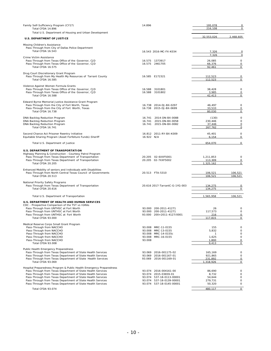| Family Self-Sufficiency Program (CY17)                                                                                         | 14.896                                               | 195,078              | $\circ$                    |
|--------------------------------------------------------------------------------------------------------------------------------|------------------------------------------------------|----------------------|----------------------------|
| Total CFDA 14.896                                                                                                              |                                                      | 216,108              | $\circ$                    |
| Total U.S. Department of Housing and Urban Development                                                                         |                                                      |                      |                            |
| U.S. DEPARTMENT OF JUSTICE                                                                                                     |                                                      | 32,553,026           | 2,468,605                  |
| Missing Children's Assistance                                                                                                  |                                                      |                      |                            |
| Pass-Through from City of Dallas Police Department                                                                             |                                                      |                      |                            |
| Total CFDA 16.543                                                                                                              | 16.543 2016-MC-FX-K034                               | 7,326                | $\circ$                    |
| Crime Victim Assistance                                                                                                        |                                                      | 7,326                | $\circ$                    |
| Pass-Through from Texas Office of the Governor, CJD                                                                            | 16.575 1373917                                       | 26,085               | $\circ$                    |
| Pass-Through from Texas Office of the Governor, CJD                                                                            | 16.575 2461705                                       | 66,376               | $\mathsf O$                |
| Total CFDA 16.575                                                                                                              |                                                      | 92,461               | 0                          |
| Drug Court Discretionary Grant Program                                                                                         |                                                      |                      |                            |
| Pass-Through from My Health My Resources of Tarrant County                                                                     | 16.585 E172321                                       | 112,523              | 0                          |
| Total CFDA 16.585                                                                                                              |                                                      | 112,523              | $\mathsf O$                |
| Violence Against Women Formula Grants                                                                                          |                                                      |                      |                            |
| Pass-Through from Texas Office of the Governor, CJD                                                                            | 16.588 3101801                                       | 38,428               | $\mathsf O$                |
| Pass-Through from Texas Office of the Governor, CJD                                                                            | 16.588 3101802                                       | 3,985                | $\mathsf O$                |
| Total CFDA 16.588                                                                                                              |                                                      | 42,413               | $\circ$                    |
| Edward Byrne Memorial Justice Assistance Grant Program                                                                         |                                                      |                      |                            |
| Pass-Through from the City of Fort Worth, Texas                                                                                | 16.738 2014-DJ-BX-0297                               | 46,497               | $\mathsf O$                |
| Pass-Through from the City of Fort Worth, Texas<br>Total CFDA 16.738                                                           | 16.738 2015-DJ-BX-0699                               | 33,533<br>80,030     | $\mathsf O$<br>$\mathsf O$ |
|                                                                                                                                |                                                      |                      |                            |
| DNA Backlog Reduction Program                                                                                                  | 16.741 2014-DN-BX-0088                               | (130)                | $\mathsf O$                |
| DNA Backlog Reduction Program                                                                                                  | 2015-DN-BX-0058<br>16.741                            | 230,446              | $\mathsf O$                |
| DNA Backlog Reduction Program<br>Total CFDA 16.741                                                                             | 16.741 2015-DN-BX-0082                               | 37,446<br>267,762    | $\circ$<br>$\circ$         |
|                                                                                                                                |                                                      |                      |                            |
| Second Chance Act Prisoner Reentry Initiative                                                                                  | 16.812 2011-RY-BX-K009                               | 45,401               | $\circ$                    |
| Equitable Sharing Program (Asset Forfeiture Funds)-Sheriff                                                                     | 16.922 N/A                                           | 6,154                | $\circ$                    |
| Total U.S. Department of Justice                                                                                               |                                                      | 654,070              | $\circ$                    |
|                                                                                                                                |                                                      |                      |                            |
| U.S. DEPARTMENT OF TRANSPORTATION                                                                                              |                                                      |                      |                            |
| Highway Planning & Construction - Courtesy Patrol Program                                                                      |                                                      |                      |                            |
| Pass-Through from Texas Department of Transportation<br>Pass-Through from Texas Department of Transportation                   | 20.205 02-6XXF5001<br>20.205 02-7XXF5002             | 1,211,853<br>113,309 | 0<br>$\circ$               |
| Total CFDA 20.205                                                                                                              |                                                      | 1,325,162            | $\mathsf O$                |
|                                                                                                                                |                                                      |                      |                            |
| Enhanced Mobility of seniors and Individuals with Disabilities<br>Pass-Through from North Central Texas Council of Governments | 20.513 FTA-5310                                      | 106,521              | 106,521                    |
| Total CFDA 20.513                                                                                                              |                                                      | 106,521              | 106,521                    |
|                                                                                                                                |                                                      |                      |                            |
| National Priority Safety Programs<br>Pass-Through from Texas Department of Transportation                                      | 20.616 2017-TarrantC-G-1YG-003                       | 134,275              | $\circ$                    |
| Total CFDA 20.616                                                                                                              |                                                      | 134,275              | $\circ$                    |
|                                                                                                                                |                                                      |                      |                            |
| Total U.S. Department of Transportation                                                                                        |                                                      | 1,565,958            | 106,521                    |
| U.S. DEPARTMENT OF HEALTH AND HUMAN SERVICES                                                                                   |                                                      |                      |                            |
| CDC - Prospective Comparison of the TST vs IGRAs                                                                               |                                                      |                      |                            |
| Pass-Through from UNTHSC at Fort Worth                                                                                         | 93.000 200-2011-41271                                | 26                   | $\mathsf O$                |
| Pass-Through from UNTHSC at Fort Worth<br>Pass-Through from UNTHSC at Fort Worth                                               | 93.000 200-2011-41271<br>93.000 200+2011-4127/0001   | 117,573<br>216       | $\mathsf O$<br>$\mathsf O$ |
| Total CFDA 93.000                                                                                                              |                                                      | 117,815              | $\circ$                    |
|                                                                                                                                |                                                      |                      |                            |
| Medical Reserve Corps Small Grant Program                                                                                      |                                                      | 155                  |                            |
| Pass-Through from NACCHO<br>Pass-Through from NACCHO                                                                           | 93.008 MRC-11-0155<br>93.008 MRC-13-0155             | 5,832                | $\mathsf O$<br>$\mathsf O$ |
| Pass-Through from NACCHO                                                                                                       | 93.008 MRC-14-0155c                                  | 1                    | $\mathsf O$                |
| Pass-Through from NACCHO                                                                                                       | 93.008 MRC-16-0155                                   | 1,625                | $\mathsf O$                |
| Pass-Through from NACCHO<br>Total CFDA 93.008                                                                                  | 93.008                                               | 1,800<br>9,413       | $\circ$<br>O               |
|                                                                                                                                |                                                      |                      |                            |
| Public Health Emergency Preparedness                                                                                           | 93.069<br>2016-001175-02                             |                      | $\mathsf O$                |
| Pass-Through from Texas Department of State Health Services<br>Pass-Through from Texas Department of State Health Services     | 93.069<br>2016-001167-01                             | 165,169<br>921,865   | $\mathsf O$                |
| Pass-Through from Texas Department of State Health Services                                                                    | 93.069<br>2016-001169-01                             | 231,892              | $\circ$                    |
| Total CFDA 93.069                                                                                                              |                                                      | 1,318,926            | $\circ$                    |
| Hospital Preparedness Program & Public Health Emergency Preparedness                                                           |                                                      |                      |                            |
| Pass-Through from Texas Department of State Health Services                                                                    | 93.074<br>2016-004161-00                             | 86,690               | $\mathsf O$                |
| Pass-Through from Texas Department of State Health Services                                                                    | 93.074 2015-03659-01                                 | 8,732                | $\mathsf O$                |
| Pass-Through from Texas Department of State Health Services<br>Pass-Through from Texas Department of State Health Services     | 93.074 537-18-0113-00001<br>93.074 537-18-0139-00001 | 54,644<br>279,731    | $\mathsf O$<br>$\mathsf O$ |
| Pass-Through from Texas Department of State Health Services                                                                    | 93.074 537-18-0145-00001                             | 50,320               | $\mathsf O$                |
| Total CFDA 93.074                                                                                                              |                                                      | 480,117              | $\Omega$                   |
|                                                                                                                                |                                                      |                      |                            |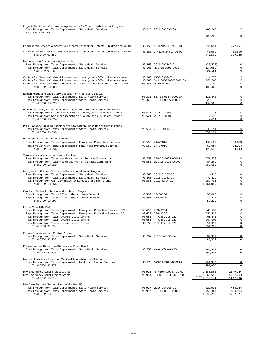| Project Grants and Cooperative Agreements for Tuberculosis Control Programs<br>Pass-Through from Texas Department of State Health Services               |        | 93.116 2016-001391-00                             | 400,266              | $\circ$                |
|----------------------------------------------------------------------------------------------------------------------------------------------------------|--------|---------------------------------------------------|----------------------|------------------------|
| Total CFDA 93.116                                                                                                                                        |        |                                                   |                      |                        |
|                                                                                                                                                          |        |                                                   | 400,266              | $\circ$                |
| Coordinated Services & Access to Research for Women, Infants, Children and Youth                                                                         |        | 93.153 5-H12HA24819-05-00                         | 392,654              | 272,657                |
| Coordinated Services & Access to Research for Women, Infants, Children and Youth<br>Total CFDA 93.153                                                    |        | 93.153 2 H12HA24819-06-00                         | 48,909<br>441.563    | 36,690<br>309,348      |
| Immunization Cooperative Agreements                                                                                                                      |        |                                                   |                      |                        |
| Pass-Through from Texas Department of State Health Services                                                                                              | 93.268 | 93.268 2016-001142-01<br>537-18-0093-0001         | (23, 533)            | O<br>$\circ$           |
| Pass-Through from Texas Department of State Health Services<br>Total CFDA 93.268                                                                         |        |                                                   | 114,689<br>91,156    | $\circ$                |
| Centers for Disease Control & Prevention - Investigations & Technical Assistance                                                                         |        | 93.283 ISDS-0909-01                               | 6,375                | $\mathsf O$            |
| Centers for Disease Control & Prevention - Investigations & Technical Assistance                                                                         |        | 93.283 5-NU50OE000070-02-00                       | 169,888              | $\circ$                |
| Centers for Disease Control & Prevention - Investigations & Technical Assistance<br>Total CFDA 93.283                                                    |        | 93.283 NU50OE000070-03-00                         | 12,140<br>188,403    | $\circ$<br>$\circ$     |
| Epidemiology and Laboratory Capacity for Infectious Diseases                                                                                             |        |                                                   |                      |                        |
| Pass-Through from Texas Department of State Health Services                                                                                              |        | 93.323 537-18-0357-00001A                         | 113,448              | $\circ$                |
| Pass-Through from Texas Department of State Health Services<br>Total CFDA 93.323                                                                         |        | 93.323 537-17-0385-00001                          | 26,118<br>139,566    | $\circ$<br>$\circ$     |
|                                                                                                                                                          |        |                                                   |                      |                        |
| Building Capacity of the Public Health System to Improve Population Health<br>Pass-Through from National Association of County and City Health Officials | 93.524 | 2015-012809                                       | 6                    | $\circ$                |
| Pass-Through from National Association of County and City Health Officials<br>Total CFDA 93.524                                                          | 93.524 | 2015-110306                                       | 2,648<br>2,654       | $\circ$<br>$\circ$     |
|                                                                                                                                                          |        |                                                   |                      |                        |
| PPHF Capacity Building Assistance to Strengthen Public Health Immunization<br>Pass-Through from Texas Department of State Health Services                |        | 93.539 2016-001142-01                             | 539,151              | $\circ$                |
| Total CFDA 93.539                                                                                                                                        |        |                                                   | 539,151              | $\circ$                |
| Promoting Safe and Stable Families                                                                                                                       |        |                                                   |                      |                        |
| Pass-Through from Texas Department of Family and Protective Services                                                                                     |        | 93.556 24427016                                   | 130,689              | 130,689                |
| Pass-Through from Texas Department of Family and Protective Services<br>Total CFDA 93.556                                                                |        | 93.556 24427016                                   | 62,954<br>193,643    | 62,954<br>193,643      |
| Temporary Assistance for Needy Families                                                                                                                  |        |                                                   |                      |                        |
| Pass-Through from Texas Health and Human Services Commission                                                                                             |        | 93.558 529-16-0003-00007A                         | 776,479              | $\circ$                |
| Pass-Through from Texas Health and Human Services Commission<br>Total CFDA 93.558                                                                        |        | 93.558 529-16-0003-00007A                         | 84,209<br>860,688    | $\mathsf O$<br>$\circ$ |
| Refugee and Entrant Assistance-State Administered Programs                                                                                               |        |                                                   |                      |                        |
| Pass-Through from Texas Department of State Health Services                                                                                              |        | 93.566 2016-01163-00                              | (225)                | $\circ$                |
| Pass-Through from Texas Department of State Health Services                                                                                              |        | 93.566 2016-01163-00<br>93.566 2017-TARX-01       | 471,539              | $\circ$<br>$\mathsf O$ |
| Pass-Through from U.S. Committee for Refugees and Immigrants<br>Total CFDA 93.566                                                                        |        |                                                   | 989,735<br>1,461,049 | $\circ$                |
| Grants to States for Access and Visitation Programs                                                                                                      |        |                                                   |                      |                        |
| Pass-Through from Texas Office of the Attorney General                                                                                                   |        | 93.597 17-C0126                                   | 53,808               | $\circ$                |
| Pass-Through from Texas Office of the Attorney General<br>Total CFDA 93.597                                                                              |        | 93.597 17-C0126                                   | 5,417<br>59,225      | $\mathsf O$<br>$\circ$ |
|                                                                                                                                                          |        |                                                   |                      |                        |
| Foster Care Title IV-E<br>Pass-Through from Texas Department of Family and Protective Services (CPS)                                                     |        | 93.658 23941254                                   | 47,796               | $\circ$                |
| Pass-Through from Texas Department of Family and Protective Services (DA)                                                                                |        | 93.658 23941256                                   | 282,757              | $\mathsf O$            |
| Pass-Through from Texas Juvenile Justice Division                                                                                                        |        | 93.658 TJPC-E-2015-220<br>93.658 TJPC-E-2016-220  | 95,541<br>107,298    | $\circ$<br>$\circ$     |
| Pass-Through from Texas Juvenile Justice Division<br>Pass-Through from Texas Juvenile Justice Division                                                   |        | 93.658 TJPC-E-2017-220                            | 51,393               | $\circ$                |
| Total CFDA 93.658                                                                                                                                        |        |                                                   | 584,785              | O                      |
| Cancer Prevention and Control Programs                                                                                                                   |        |                                                   |                      |                        |
| Pass-Through from Texas Department of State Health Services<br>Total CFDA 93.752                                                                         |        | 93.752 2015-047030-04                             | 87,377<br>87,377     | $\circ$<br>$\circ$     |
|                                                                                                                                                          |        |                                                   |                      |                        |
| Preventive Health and Health Services Block Grant<br>Pass-Through from Texas Department of State Health Services                                         |        | 93.758 2016-0012116-00                            | 190.549              | $\circ$                |
| Total CFDA 93.758                                                                                                                                        |        |                                                   | 190,549              | $\circ$                |
| Medical Assistance Program (Medicaid Administrative Claims)                                                                                              |        |                                                   |                      |                        |
| Pass-Through from Texas Department of Health and Human Services<br>Total CFDA 93.778                                                                     |        | 93.778 529-11-0041-00001A                         | 791,930<br>791,930   | 0<br>$\circ$           |
| HIV Emergency Relief Project Grants                                                                                                                      | 93.914 | 6-H89HA00047-21-02                                | 2,166,558            | 1,549,744              |
| HIV Emergency Relief Project Grants                                                                                                                      | 93.914 | 2-H89-HA-00047-22-00                              | 1,863,586            | 1,297,693              |
| Total CFDA 93.914                                                                                                                                        |        |                                                   | 4,030,144            | 2,847,436              |
| HIV Care Formula Grants (Ryan White Part B)                                                                                                              |        |                                                   |                      |                        |
| Pass-Through from Texas Department of State Health Services<br>Pass-Through from Texas Department of State Health Services                               |        | 93.917 2016-004109-01<br>93.917 537-17-0161-00001 | 827,931<br>758,367   | 658,064<br>594,914     |
| Total CFDA 93.917                                                                                                                                        |        |                                                   | 1,586,298            | 1,252,977              |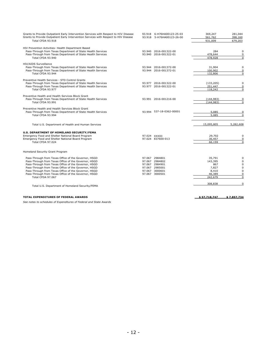| Grants to Provide Outpatient Early Intervention Services with Respect to HIV Disease<br>Grants to Provide Outpatient Early Intervention Services with Respect to HIV Disease | 93.918 6-H76HA00123-25-03<br>93.918 5-H76HA00123-26-00 | 369,247<br>561,762 | 281,044<br>398,160 |
|------------------------------------------------------------------------------------------------------------------------------------------------------------------------------|--------------------------------------------------------|--------------------|--------------------|
| Total CFDA 93.918                                                                                                                                                            |                                                        | 931.009            | 679.203            |
| HIV Prevention Activities- Health Department Based                                                                                                                           |                                                        |                    |                    |
| Pass-Through from Texas Department of State Health Services                                                                                                                  | 93.940 2016-001322-00                                  | 284                | 0                  |
| Pass-Through from Texas Department of State Health Services                                                                                                                  | 93.940 2016-001322-01                                  | 478,644            | 0                  |
| Total CFDA 93.940                                                                                                                                                            |                                                        | 478.928            | $\Omega$           |
| <b>HIV/AIDS Surveillance</b>                                                                                                                                                 |                                                        |                    |                    |
| Pass-Through from Texas Department of State Health Services                                                                                                                  | 93.944 2016-001372-00                                  | 31,904             | 0                  |
| Pass-Through from Texas Department of State Health Services                                                                                                                  | 93.944 2016-001372-01                                  | 100,902            | 0                  |
| Total CFDA 93.944                                                                                                                                                            |                                                        | 132,806            | $\Omega$           |
| Preventive Health Services - STD Control Grants                                                                                                                              |                                                        |                    |                    |
| Pass-Through from Texas Department of State Health Services                                                                                                                  | 93.977 2016-001322-00                                  | (133, 205)         | 0                  |
| Pass-Through from Texas Department of State Health Services                                                                                                                  | 93.977 2016-001322-01                                  | 251.447            | 0                  |
| Total CFDA 93.977                                                                                                                                                            |                                                        | 118,242            | $\Omega$           |
| Preventive Health and Health Services Block Grant                                                                                                                            |                                                        |                    |                    |
| Pass-Through from Texas Department of State Health Services                                                                                                                  | 93.991 2016-001216-00                                  | (144, 983)         | n                  |
| Total CFDA 93.991                                                                                                                                                            |                                                        | (144.983)          | $\Omega$           |
| Preventive Health and Health Services Block Grant                                                                                                                            |                                                        |                    |                    |
| Pass-Through from Texas Department of State Health Services                                                                                                                  | 93.994 537-18-0362-00001                               | 5,085              | 0                  |
| Total CFDA 93.994                                                                                                                                                            |                                                        | 5,085              | $\Omega$           |
| Total U.S. Department of Health and Human Services                                                                                                                           |                                                        | 15,095,805         | 5,282,608          |
| U.S. DEPARTMENT OF HOMELAND SECURITY/FEMA                                                                                                                                    |                                                        |                    |                    |
| Emergency Food and Shelter National Board Program                                                                                                                            | 97.024 XXXIII                                          | 29,702             | 0                  |
| Emergency Food and Shelter National Board Program                                                                                                                            | 97.024 837600-013                                      | 36,457             | 0                  |
| Total CFDA 97.024                                                                                                                                                            |                                                        | 66,159             | $\Omega$           |
| Homeland Security Grant Program                                                                                                                                              |                                                        |                    |                    |
| Pass-Through from Texas Office of the Governor, HSGD                                                                                                                         | 97.067 2984801                                         | 35,791             |                    |
| Pass-Through from Texas Office of the Governor, HSGD                                                                                                                         | 97.067 2984802                                         | 143,395            | 0                  |
| Pass-Through from Texas Office of the Governor, HSGD                                                                                                                         | 97.067 2984901                                         | 867                | 0                  |
| Pass-Through from Texas Office of the Governor, HSGD                                                                                                                         | 97.067 2985001                                         | 7,827              | 0                  |
| Pass-Through from Texas Office of the Governor, HSGD                                                                                                                         | 97.067 3000601                                         | 8,410              | 0                  |
| Pass-Through from Texas Office of the Governor, HSGD                                                                                                                         | 97.067 3000501                                         | 46,389             | $\Omega$           |
| Total CFDA 97.067                                                                                                                                                            |                                                        | 242,679            | $\Omega$           |
|                                                                                                                                                                              |                                                        | 308,838            | $\Omega$           |
| Total U.S. Department of Homeland Security/FEMA                                                                                                                              |                                                        |                    |                    |

#### **TOTAL EXPENDITURES OF FEDERAL AWARDS <b>ALL 2018 IN EXPENDITURES OF FEDERAL AWARDS**

*See notes to schedules of Expenditures of Federal and State Awards*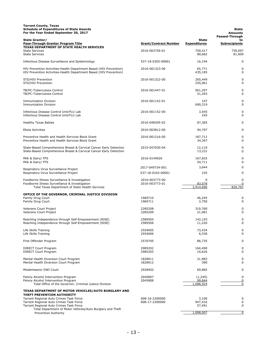| <b>Tarrant County, Texas</b><br><b>Schedule of Expenditures of State Awards</b><br>For the Year Ended September 30, 2017              |                              |                                | State<br><b>Amounts</b><br>Passed-Through |
|---------------------------------------------------------------------------------------------------------------------------------------|------------------------------|--------------------------------|-------------------------------------------|
| <b>State Grantor/</b>                                                                                                                 | <b>Grant/Contract Number</b> | State                          | to                                        |
| Pass-Through Grantor Program Title                                                                                                    |                              | <b>Expenditures</b>            | <b>Subrecipients</b>                      |
| <b>TEXAS DEPARTMENT OF STATE HEALTH SERVICES</b><br><b>State Services</b><br><b>State Services</b>                                    | 2016-003756-01               | 750,417<br>80,682              | 739,097<br>81,609                         |
| Infectious Disease Surveillance and Epidemiology                                                                                      | 537-18-0305-00001            | 16,194                         | 0                                         |
| HIV Prevention Activities-Health Department Based (HIV Prevention)                                                                    | 2016-001323-00               | 65,771                         | 0                                         |
| HIV Prevention Activities-Health Department Based (HIV Prevention)                                                                    |                              | 435,185                        | 0                                         |
| STD/HIV Prevention                                                                                                                    | 2016-001322-00               | 265,449                        | 0                                         |
| STD/HIV Prevention                                                                                                                    |                              | 255,061                        | 0                                         |
| TB/PC-Tuberculosis Control                                                                                                            | 2016-001447-01               | 561,297                        | 0                                         |
| TB/PC-Tuberculosis Control                                                                                                            |                              | 51,293                         | 0                                         |
| <b>Immunization Division</b>                                                                                                          | 2016-001142-01               | 107                            | 0                                         |
| <b>Immunization Division</b>                                                                                                          |                              | 690,319                        | 0                                         |
| Infectious Disease Control Unit/FLU Lab                                                                                               | 2016-001152-00               | 3,545                          | 0                                         |
| Infectious Disease Control Unit/FLU Lab                                                                                               |                              | 245                            | 0                                         |
| <b>Healthy Texas Babies</b>                                                                                                           | 2016-048295-02               | 87,385                         | 0                                         |
| Ebola Activities                                                                                                                      | 2016-003812-00               | 94,797                         | 0                                         |
| Preventive Health and Health Services Block Grant                                                                                     | 2016-001216-00               | 187,712                        | 0                                         |
| Preventive Health and Health Services Block Grant                                                                                     |                              | 34,397                         | 0                                         |
| State-Based Comprehensive Breast & Cervical Cancer Early Detection                                                                    | 2015-047030-04               | 12,110                         | 0                                         |
| State-Based Comprehensive Breast & Cervical Cancer Early Detection                                                                    |                              | 13,231                         | 0                                         |
| Milk & Dairy/ FFS                                                                                                                     | 2016-0149926                 | 167,825                        | 0                                         |
| Milk & Dairy/ FFS                                                                                                                     |                              | 54,711                         | 0                                         |
| Respiratory Virus Surveillance Project                                                                                                | 2017-049734-001              | 3,644                          | 0                                         |
| Respiratory Virus Surveillance Project                                                                                                | 537-18-0102-00001            | 235                            | 0                                         |
| Foodborne Illness Surveillance & Investigation                                                                                        | 2016-003773-00               | 0                              | 0                                         |
| Foodborne Illness Surveillance & Investigation                                                                                        | 2016-003773-01               | 83,078                         | 0                                         |
| Total Texas Department of State Health Services                                                                                       |                              | 3,914,690                      | 820,707                                   |
| OFFICE OF THE GOVERNOR, CRIMINAL JUSTICE DIVISION<br>Family Drug Court<br>Family Drug Court                                           | 1969710<br>1969711           | 46,245<br>3,750                | 0<br>0                                    |
| Veterans Court Project                                                                                                                | 2285208                      | 319,760                        | 0                                         |
| Veterans Court Project                                                                                                                | 2285209                      | 21,081                         | 0                                         |
| Reaching Independence through Self-Empowerment (RISE)                                                                                 | 2589505                      | 142,193                        | 0                                         |
| Reaching Independence through Self-Empowerment (RISE)                                                                                 | 2589506                      | 11,220                         | $\Omega$                                  |
| Life Skills Training                                                                                                                  | 2554005                      | 73,434                         | 0                                         |
| Life Skills Training                                                                                                                  | 2554006                      | 6,536                          | 0                                         |
| First Offender Program                                                                                                                | 2570705                      | 86,735                         | 0                                         |
| <b>DIRECT Court Program</b>                                                                                                           | 2985202                      | 164,490                        | 0                                         |
| <b>DIRECT Court Program</b>                                                                                                           | 2985203                      | 10,626                         | 0                                         |
| Mental Health Diversion Court Program                                                                                                 | 1828911                      | 31,983                         | 0                                         |
| Mental Health Diversion Court Program                                                                                                 | 1828912                      | 390                            | 0                                         |
| Misdemeanor DWI Court                                                                                                                 | 2928402                      | 69,882                         | 0                                         |
| Felony Alcohol Intervention Program<br>Felony Alcohol Intervention Program<br>Total Office of the Governor, Criminal Justice Division | 2045807<br>2045808           | (1,245)<br>99,844<br>1,086,924 | 0<br>0<br>0                               |
| <b>TEXAS DEPARTMENT OF MOTOR VEHICLES/AUTO BURGLARY AND</b>                                                                           |                              |                                |                                           |
| THEFT PREVENTION AUTHORITY<br>Tarrant Regional Auto Crimes Task Force                                                                 | 608-16-2200000               | 3,100                          | 0                                         |
| Tarrant Regional Auto Crimes Task Force                                                                                               | 608-17-2200000               | 947,416                        | 0                                         |
| Tarrant Regional Auto Crimes Task Force                                                                                               |                              | 57,491                         | 0                                         |
| Total Department of Motor Vehicles/Auto Burglary and Theft<br>Prevention Authority                                                    |                              | 1,008,007                      | 0                                         |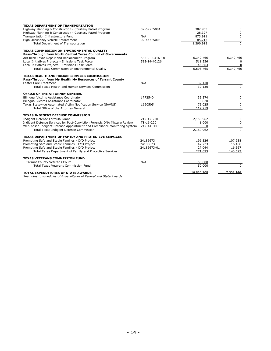| <b>TEXAS DEPARTMENT OF TRANSPORTATION</b>                                 |                |            |                |
|---------------------------------------------------------------------------|----------------|------------|----------------|
| Highway Planning & Construction - Courtesy Patrol Program                 | 02-6XXF5001    | 302,963    | 0              |
| Highway Planning & Construction - Courtesy Patrol Program                 |                | 28,327     | 0              |
| Transportation Infrastructure Fund                                        | N/A            | 873,911    | 0              |
| High Occupancy Vehicle Enforcement                                        | 02-4XXF5003    | 85,717     | 0              |
| Total Department of Transportation                                        |                | 1,290,918  | $\Omega$       |
| TEXAS COMMISSION ON ENVIRONMENTAL QUALITY                                 |                |            |                |
| Pass-Through from North Central Texas Council of Governments              |                |            |                |
| AirCheck Texas Repair and Replacement Program                             | 582-9-90416-18 | 6,340,766  | 6,340,766      |
| Local Initiatives Projects - Emissions Task Force                         | 582-14-40126   | 511,336    | 0              |
| Local Initiatives Projects - Emissions Task Force                         |                | 46,663     |                |
| Total Texas Commission on Environmental Quality                           |                | 6,898,765  | 6,340,766      |
| TEXAS HEALTH AND HUMAN SERVICES COMMISSION                                |                |            |                |
| Pass-Through from My Health My Resources of Tarrant County                |                |            |                |
| <b>Foster Care Treatment</b>                                              | N/A            | 32,130     | $\overline{0}$ |
| Total Texas Health and Human Services Commission                          |                | 32,130     | $\Omega$       |
| OFFICE OF THE ATTORNEY GENERAL                                            |                |            |                |
| Bilingual Victims Assistance Coordinator                                  | 1772540        | 35,374     | 0              |
| Bilingual Victims Assistance Coordinator                                  |                | 6,820      | 0              |
| Texas Statewide Automated Victim Notification Service (SAVNS)             | 1660505        | 75,025     | 0              |
| Total Office of the Attorney General                                      |                | 117,219    | $\mathbf 0$    |
| TEXAS INDIGENT DEFENSE COMMISSION                                         |                |            |                |
| Indigent Defense Formula Grant                                            | 212-17-220     | 2,159,962  | 0              |
| Indigent Defense Services for Post-Conviction Forensic DNA Mixture Review | TS-16-220      | 1,000      | 0              |
| Web-based Indigent Defense Appointment and Compliance Monitoring System   | 212-14-D09     | 0          | $\mathbf 0$    |
| Total Texas Indigent Defense Commission                                   |                | 2,160,962  | $\Omega$       |
| <b>TEXAS DEPARTMENT OF FAMILY AND PROTECTIVE SERVICES</b>                 |                |            |                |
| Promoting Safe and Stable Families - CYD Project                          | 24186673       | 196,326    | 107,938        |
| Promoting Safe and Stable Families - CYD Project                          | 24186673       | 47,723     | 16,168         |
| Promoting Safe and Stable Families - CYD Project                          | 24186673-01    | 27,044     | 16,567         |
| Total Texas Department of Family and Protective Services                  |                | 271,093    | 140,673        |
| <b>TEXAS VETERANS COMMISSION FUND</b>                                     |                |            |                |
| <b>Tarrant County Veterans Court</b>                                      | N/A            | 50,000     | 0              |
| <b>Total Texas Veterans Commission Fund</b>                               |                | 50,000     | $\Omega$       |
| <b>TOTAL EXPENDITURES OF STATE AWARDS</b>                                 |                | 16,830,708 | 7,302,146      |

*See notes to schedules of Expenditures of Federal and State Awards*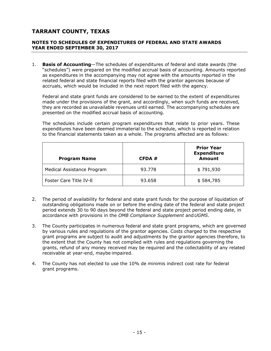### **TARRANT COUNTY, TEXAS**

#### **NOTES TO SCHEDULES OF EXPENDITURES OF FEDERAL AND STATE AWARDS YEAR ENDED SEPTEMBER 30, 2017**

1. **Basis of Accounting**—The schedules of expenditures of federal and state awards (the "schedules") were prepared on the modified accrual basis of accounting. Amounts reported as expenditures in the accompanying may not agree with the amounts reported in the related federal and state financial reports filed with the grantor agencies because of accruals, which would be included in the next report filed with the agency.

Federal and state grant funds are considered to be earned to the extent of expenditures made under the provisions of the grant, and accordingly, when such funds are received, they are recorded as unavailable revenues until earned. The accompanying schedules are presented on the modified accrual basis of accounting.

The schedules include certain program expenditures that relate to prior years. These expenditures have been deemed immaterial to the schedule, which is reported in relation to the financial statements taken as a whole. The programs affected are as follows:

| <b>Program Name</b>        | CFDA#  | <b>Prior Year</b><br><b>Expenditure</b><br><b>Amount</b> |
|----------------------------|--------|----------------------------------------------------------|
| Medical Assistance Program | 93.778 | \$791,930                                                |
| Foster Care Title IV-E     | 93.658 | \$584,785                                                |

- 2. The period of availability for federal and state grant funds for the purpose of liquidation of outstanding obligations made on or before the ending date of the federal and state project period extends 30 to 90 days beyond the federal and state project period ending date, in accordance with provisions in the *OMB Compliance Supplement* and *UGMS*.
- 3. The County participates in numerous federal and state grant programs, which are governed by various rules and regulations of the grantor agencies. Costs charged to the respective grant programs are subject to audit and adjustments by the grantor agencies therefore, to the extent that the County has not complied with rules and regulations governing the grants, refund of any money received may be required and the collectability of any related receivable at year-end, maybe impaired.
- 4. The County has not elected to use the 10% de minimis indirect cost rate for federal grant programs.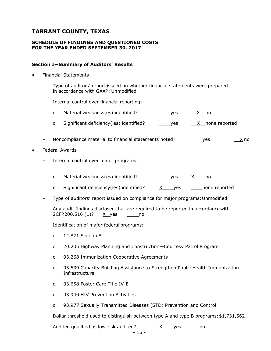### **TARRANT COUNTY, TEXAS**

#### **SCHEDULE OF FINDINGS AND QUESTIONED COSTS FOR THE YEAR ENDED SEPTEMBER 30, 2017**

#### **Section I—Summary of Auditors' Results**

- Financial Statements
	- Type of auditors' report issued on whether financial statements were prepared in accordance with GAAP: Unmodified
	- Internal control over financial reporting:
		- o Material weakness(es) identified? The Material weakness is denotified? X no
		- o Significant deficiency(ies) identified? \_\_\_\_\_\_\_\_ yes X none reported
	- Noncompliance material to financial statements noted? yes X no
- Federal Awards
	- Internal control over major programs:
		- o Material weakness(es) identified? yes X no
		- o Significant deficiency(ies) identified?  $X \longrightarrow Y$ es none reported
	- Type of auditors' report issued on compliance for major programs: Unmodified
	- Any audit findings disclosed that are required to be reported in accordance with 2CFR200.516 (1)? X yes \_\_\_\_\_\_ no
	- Identification of major federal programs:
		- o 14.871 Section 8
		- o 20.205 Highway Planning and Construction—Courtesy Patrol Program
		- o 93.268 Immunization Cooperative Agreements
		- o 93.539 Capacity Building Assistance to Strengthen Public Health Immunization Infrastructure
		- o 93.658 Foster Care Title IV-E
		- o 93.940 HIV Prevention Activities
		- o 93.977 Sexually Transmitted Diseases (STD) Prevention and Control
	- Dollar threshold used to distinguish between type A and type B programs: \$1,731,562
	- Auditee qualified as low-risk auditee?  $\frac{X}{Y}$  yes no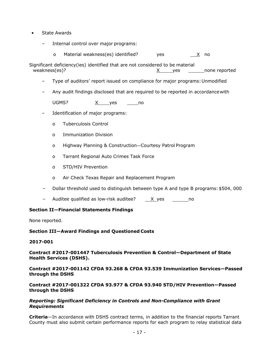- State Awards
	- Internal control over major programs:
		- o Material weakness(es) identified? ves X no

Significant deficiency(ies) identified that are not considered to be material weakness(es)? X yes none reported

- Type of auditors' report issued on compliance for major programs: Unmodified
- Any audit findings disclosed that are required to be reported in accordance with

UGMS? X yes no

- Identification of major programs:
	- o Tuberculosis Control
	- o Immunization Division
	- o Highway Planning & Construction—Courtesy Patrol Program
	- o Tarrant Regional Auto Crimes Task Force
	- o STD/HIV Prevention
	- o Air Check Texas Repair and Replacement Program
- Dollar threshold used to distinguish between type A and type B programs: \$504, 000
- Auditee qualified as low-risk auditee? X yes no

#### **Section II—Financial Statements Findings**

None reported.

#### **Section III—Award Findings and Questioned Costs**

#### **2017-001**

**Contract #2017-001447 Tuberculosis Prevention & Control—Department of State Health Services (DSHS).** 

**Contract #2017-001142 CFDA 93.268 & CFDA 93.539 Immunization Services—Passed through the DSHS** 

#### **Contract #2017-001322 CFDA 93.977 & CFDA 93.940 STD/HIV Prevention—Passed through the DSHS**

#### *Reporting: Significant Deficiency in Controls and Non-Compliance with Grant Requirements*

**Criteria**—In accordance with DSHS contract terms, in addition to the financial reports Tarrant County must also submit certain performance reports for each program to relay statistical data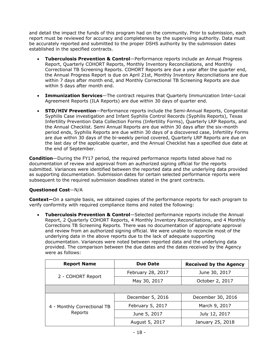and detail the impact the funds of this program had on the community. Prior to submission, each report must be reviewed for accuracy and completeness by the supervising authority. Data must be accurately reported and submitted to the proper DSHS authority by the submission dates established in the specified contracts.

- **Tuberculosis Prevention & Control**—Performance reports include an Annual Progress Report, Quarterly COHORT Reports, Monthly Inventory Reconciliations, and Monthly Correctional TB Screening Reports. COHORT Reports are due a year after the quarter end, the Annual Progress Report is due on April 21st, Monthly Inventory Reconciliations are due within 7 days after month end, and Monthly Correctional TB Screening Reports are due within 5 days after month end.
- **Immunization Services**—The contract requires that Quarterly Immunization Inter-Local Agreement Reports (ILA Reports) are due within 30 days of quarter end.
- **STD/HIV Prevention**—Performance reports include the Semi-Annual Reports, Congenital Syphilis Case investigation and Infant Syphilis Control Records (Syphilis Reports), Texas Infertility Prevention Data Collection Forms (Infertility Forms), Quarterly LRP Reports, and the Annual Checklist. Semi Annual Reports are due within 30 days after the six-month period ends, Syphilis Reports are due within 30 days of a discovered case, Infertility Forms are due within 30 days of the bi-weekly period covered, Quarterly LRP Reports are due on the last day of the applicable quarter, and the Annual Checklist has a specified due date at the end of September.

**Condition**—During the FY17 period, the required performance reports listed above had no documentation of review and approval from an authorized signing official for the reports submitted. Variances were identified between the reported data and the underlying data provided as supporting documentation. Submission dates for certain selected performance reports were subsequent to the required submission deadlines stated in the grant contracts.

#### **Questioned Cost**—N/A

**Context—**On a sample basis, we obtained copies of the performance reports for each program to verify conformity with required compliance items and noted the following:

 **Tuberculosis Prevention & Control**—Selected performance reports include the Annual Report, 2 Quarterly COHORT Reports, 4 Monthly Inventory Reconciliations, and 4 Monthly Corrections TB Screening Reports. There was no documentation of appropriate approval and review from an authorized signing official. We were unable to reconcile most of the underlying data in the above reports due to the lack of adequate supporting documentation. Variances were noted between reported data and the underlying data provided. The comparison between the due dates and the dates received by the Agency were as follows:

| <b>Report Name</b>          | <b>Due Date</b>   | <b>Received by the Agency</b> |
|-----------------------------|-------------------|-------------------------------|
| 2 - COHORT Report           | February 28, 2017 | June 30, 2017                 |
|                             | May 30, 2017      | October 2, 2017               |
|                             |                   |                               |
|                             | December 5, 2016  | December 30, 2016             |
| 4 - Monthly Correctional TB | February 5, 2017  | March 9, 2017                 |
| Reports                     | June 5, 2017      | July 12, 2017                 |
|                             | August 5, 2017    | January 25, 2018              |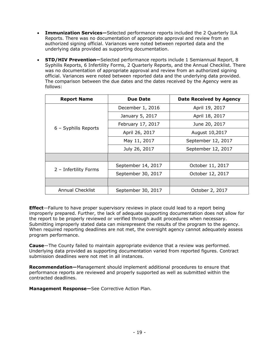- **Immunization Services—**Selected performance reports included the 2 Quarterly ILA Reports. There was no documentation of appropriate approval and review from an authorized signing official. Variances were noted between reported data and the underlying data provided as supporting documentation.
- **STD/HIV Prevention—**Selected performance reports include 1 Semiannual Report, 8 Syphilis Reports, 6 Infertility Forms, 2 Quarterly Reports, and the Annual Checklist. There was no documentation of appropriate approval and review from an authorized signing official. Variances were noted between reported data and the underlying data provided. The comparison between the due dates and the dates received by the Agency were as follows:

| <b>Report Name</b>    | <b>Due Date</b>    | <b>Date Received by Agency</b> |
|-----------------------|--------------------|--------------------------------|
|                       | December 1, 2016   | April 19, 2017                 |
|                       | January 5, 2017    | April 18, 2017                 |
| 6 - Syphilis Reports  | February 17, 2017  | June 20, 2017                  |
|                       | April 26, 2017     | August 10,2017                 |
|                       | May 11, 2017       | September 12, 2017             |
|                       | July 26, 2017      | September 12, 2017             |
|                       |                    |                                |
|                       | September 14, 2017 | October 11, 2017               |
| 2 - Infertility Forms | September 30, 2017 | October 12, 2017               |
|                       |                    |                                |
| Annual Checklist      | September 30, 2017 | October 2, 2017                |

**Effect**—Failure to have proper supervisory reviews in place could lead to a report being improperly prepared. Further, the lack of adequate supporting documentation does not allow for the report to be properly reviewed or verified through audit procedures when necessary. Submitting improperly stated data can misrepresent the results of the program to the agency. When required reporting deadlines are not met, the oversight agency cannot adequately assess program performance.

**Cause**—The County failed to maintain appropriate evidence that a review was performed. Underlying data provided as supporting documentation varied from reported figures. Contract submission deadlines were not met in all instances.

**Recommendation—**Management should implement additional procedures to ensure that performance reports are reviewed and properly supported as well as submitted within the contracted deadlines.

**Management Response—**See Corrective Action Plan.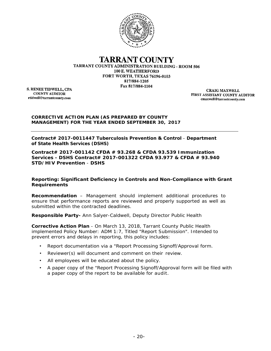

#### **TARRANT COUNTY** TARRANT COUNTY ADMINISTRATION BUILDING - ROOM 506 **100 E. WEATHERFORD** FORT WORTH, TEXAS 76196-0103 817/884-1205 Fax 817/884-1104

**S. RENEE TIDWELL, CPA COUNTY AUDITOR** rtidwell@tarrantcounty.com

**CRAIG MAXWELL** FIRST ASSISTANT COUNTY AUDITOR cmaxwell@tarrantcounty.com

#### **CORRECTIVE ACTION PLAN (AS PREPARED BY COUNTY MANAGEMENT) FOR THE YEAR ENDED SEPTEMBER 30, 2017**

**Contract# 2017-0011447 Tuberculosis Prevention & Control** - **Department of State Health Services (DSHS)**

**Contract# 2017-001142 CFDA # 93.268 & CFDA 93.539 Immunization Services - DSHS Contract# 2017-001322 CFDA 93.977 & CFDA # 93.940 STD/HIV Prevention** - **DSHS**

#### **Reporting: Significant Deficiency in Controls and Non-Compliance with Grant Requirements**

**Recommendation** – Management should implement additional procedures to ensure that performance reports are reviewed and properly supported as well as submitted within the contracted deadlines.

**Responsible Party-** Ann Salyer-Caldwell, Deputy Director Public Health

**Corrective Action Plan** - On March 13, 2018, Tarrant County Public Health implemented Policy Number: ADM 1:7, Titled "Report Submission". Intended to prevent errors and delays in reporting, this policy includes:

- Report documentation via a "Report Processing Signoff/Approval form.
- Reviewer(s) will document and comment on their review.
- All employees will be educated about the policy.
- A paper copy of the "Report Processing Signoff/Approval form will be filed with a paper copy of the report to be available for audit.